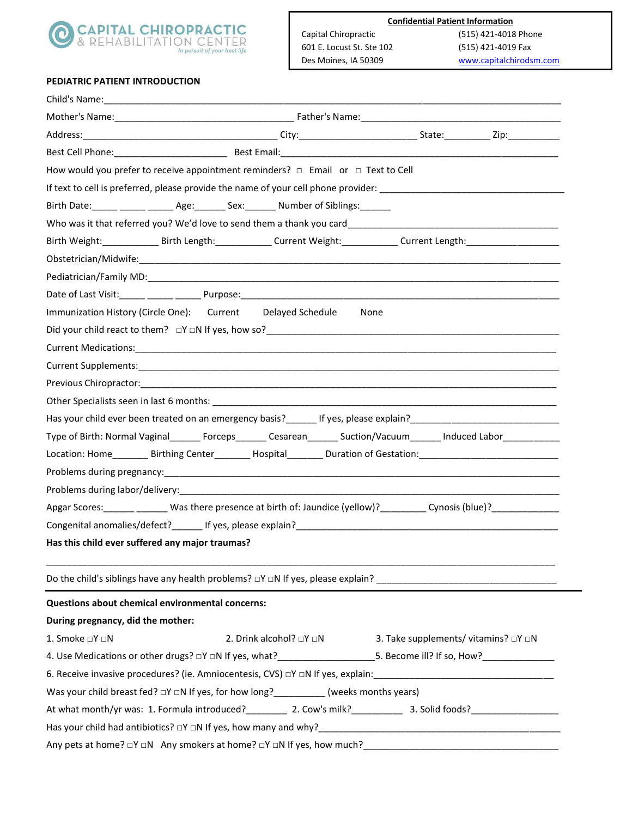

 601 E. Locust St. Ste 102 (515) 421-4019 Fax Des Moines, IA 50309 [www.capitalchirodsm.com](http://www.capitalchirodsm.com/)

٦

# **PEDIATRIC PATIENT INTRODUCTION**

|                                                  | How would you prefer to receive appointment reminders? $\Box$ Email or $\Box$ Text to Cell                                                                                                           |                                                                                                                       |  |
|--------------------------------------------------|------------------------------------------------------------------------------------------------------------------------------------------------------------------------------------------------------|-----------------------------------------------------------------------------------------------------------------------|--|
|                                                  | If text to cell is preferred, please provide the name of your cell phone provider: ___________________________                                                                                       |                                                                                                                       |  |
|                                                  | Birth Date: _____ _____ ______ Age: ______ Sex: ______ Number of Siblings: ______                                                                                                                    |                                                                                                                       |  |
|                                                  |                                                                                                                                                                                                      |                                                                                                                       |  |
|                                                  |                                                                                                                                                                                                      |                                                                                                                       |  |
|                                                  |                                                                                                                                                                                                      |                                                                                                                       |  |
|                                                  |                                                                                                                                                                                                      |                                                                                                                       |  |
|                                                  |                                                                                                                                                                                                      |                                                                                                                       |  |
|                                                  | Immunization History (Circle One): Current Delayed Schedule                                                                                                                                          | None                                                                                                                  |  |
|                                                  |                                                                                                                                                                                                      |                                                                                                                       |  |
|                                                  |                                                                                                                                                                                                      |                                                                                                                       |  |
|                                                  |                                                                                                                                                                                                      |                                                                                                                       |  |
|                                                  |                                                                                                                                                                                                      |                                                                                                                       |  |
|                                                  |                                                                                                                                                                                                      |                                                                                                                       |  |
|                                                  | Has your child ever been treated on an emergency basis?<br>Let yes, please explain?<br>The system of the content of the content of the content of the content of the content of the content of the c |                                                                                                                       |  |
|                                                  | Type of Birth: Normal Vaginal_______ Forceps_______ Cesarean_______ Suction/Vacuum_______ Induced Labor__________                                                                                    |                                                                                                                       |  |
|                                                  |                                                                                                                                                                                                      |                                                                                                                       |  |
|                                                  |                                                                                                                                                                                                      |                                                                                                                       |  |
|                                                  |                                                                                                                                                                                                      |                                                                                                                       |  |
|                                                  | Apgar Scores: ______ _______ Was there presence at birth of: Jaundice (yellow)? _________ Cynosis (blue)? _______________                                                                            |                                                                                                                       |  |
|                                                  |                                                                                                                                                                                                      |                                                                                                                       |  |
| Has this child ever suffered any major traumas?  |                                                                                                                                                                                                      |                                                                                                                       |  |
|                                                  |                                                                                                                                                                                                      |                                                                                                                       |  |
|                                                  | Do the child's siblings have any health problems? $\Box Y \Box N$ If yes, please explain?                                                                                                            |                                                                                                                       |  |
| Questions about chemical environmental concerns: |                                                                                                                                                                                                      |                                                                                                                       |  |
| During pregnancy, did the mother:                |                                                                                                                                                                                                      |                                                                                                                       |  |
| 1. Smoke □Y □N                                   |                                                                                                                                                                                                      | 2. Drink alcohol? □Y □N 3. Take supplements/ vitamins? □Y □N                                                          |  |
|                                                  |                                                                                                                                                                                                      |                                                                                                                       |  |
|                                                  |                                                                                                                                                                                                      |                                                                                                                       |  |
|                                                  | Was your child breast fed? $\Box Y \Box N$ If yes, for how long?_________(weeks months years)                                                                                                        |                                                                                                                       |  |
|                                                  |                                                                                                                                                                                                      |                                                                                                                       |  |
|                                                  |                                                                                                                                                                                                      |                                                                                                                       |  |
|                                                  | Any pets at home? □Y □N Any smokers at home? □Y □N If yes, how much?                                                                                                                                 | <u> 1980 - Jan Sterling von Berling von Berling von Berling von Berling von Berling von Berling von Berling von B</u> |  |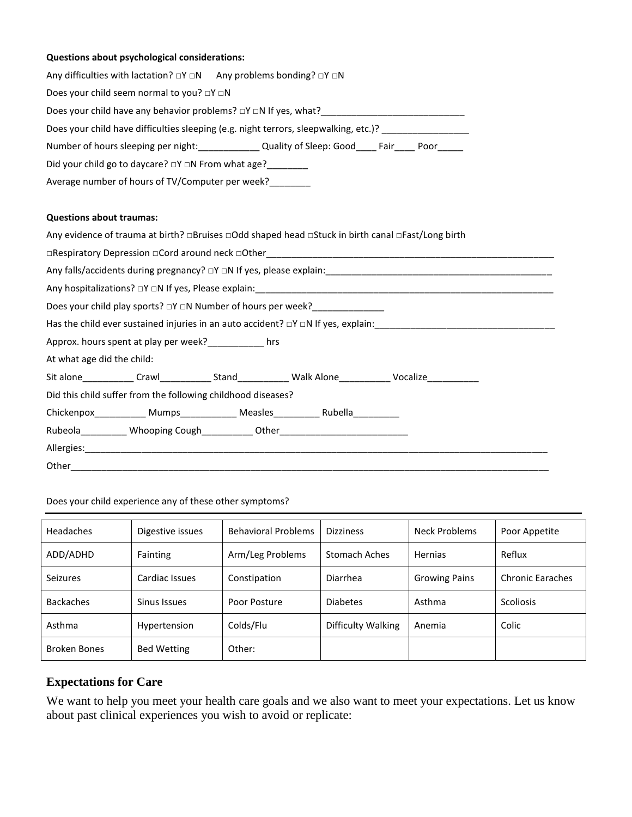# Questions about psychological considerations:

|                                 | Any difficulties with lactation? $\Box Y \Box N$ Any problems bonding? $\Box Y \Box N$                    |  |  |
|---------------------------------|-----------------------------------------------------------------------------------------------------------|--|--|
|                                 | Does your child seem normal to you? □Y □N                                                                 |  |  |
|                                 |                                                                                                           |  |  |
|                                 | Does your child have difficulties sleeping (e.g. night terrors, sleepwalking, etc.)? ____________________ |  |  |
|                                 | Number of hours sleeping per night: Cumber 2011 Quality of Sleep: Good Fair Poor                          |  |  |
|                                 | Did your child go to daycare? □Y □N From what age?________                                                |  |  |
|                                 | Average number of hours of TV/Computer per week?                                                          |  |  |
|                                 |                                                                                                           |  |  |
| <b>Questions about traumas:</b> |                                                                                                           |  |  |
|                                 | Any evidence of trauma at birth? □Bruises □Odd shaped head □Stuck in birth canal □Fast/Long birth         |  |  |
|                                 |                                                                                                           |  |  |
|                                 |                                                                                                           |  |  |
|                                 |                                                                                                           |  |  |
|                                 | Does your child play sports? □Y □N Number of hours per week?______________                                |  |  |
|                                 | Has the child ever sustained injuries in an auto accident? $\Box Y \Box N$ If yes, explain:               |  |  |
|                                 | Approx. hours spent at play per week?___________ hrs                                                      |  |  |
| At what age did the child:      |                                                                                                           |  |  |
|                                 | Sit alone_____________Crawl______________Stand_______________Walk Alone_____________Vocalize_____________ |  |  |
|                                 | Did this child suffer from the following childhood diseases?                                              |  |  |
|                                 | Chickenpox_____________ Mumps______________ Measles____________ Rubella__________                         |  |  |
|                                 | Rubeola___________ Whooping Cough___________ Other______________________________                          |  |  |
|                                 |                                                                                                           |  |  |
| Other .                         |                                                                                                           |  |  |

# Does your child experience any of these other symptoms?

| <b>Headaches</b>    | Digestive issues   | <b>Behavioral Problems</b> | <b>Dizziness</b>     | Neck Problems        | Poor Appetite           |
|---------------------|--------------------|----------------------------|----------------------|----------------------|-------------------------|
| ADD/ADHD            | Fainting           | Arm/Leg Problems           | <b>Stomach Aches</b> | Hernias              | Reflux                  |
| <b>Seizures</b>     | Cardiac Issues     | Constipation               | Diarrhea             | <b>Growing Pains</b> | <b>Chronic Earaches</b> |
| <b>Backaches</b>    | Sinus Issues       | Poor Posture               | <b>Diabetes</b>      | Asthma               | <b>Scoliosis</b>        |
| Asthma              | Hypertension       | Colds/Flu                  | Difficulty Walking   | Anemia               | Colic                   |
| <b>Broken Bones</b> | <b>Bed Wetting</b> | Other:                     |                      |                      |                         |

# **Expectations for Care**

We want to help you meet your health care goals and we also want to meet your expectations. Let us know about past clinical experiences you wish to avoid or replicate: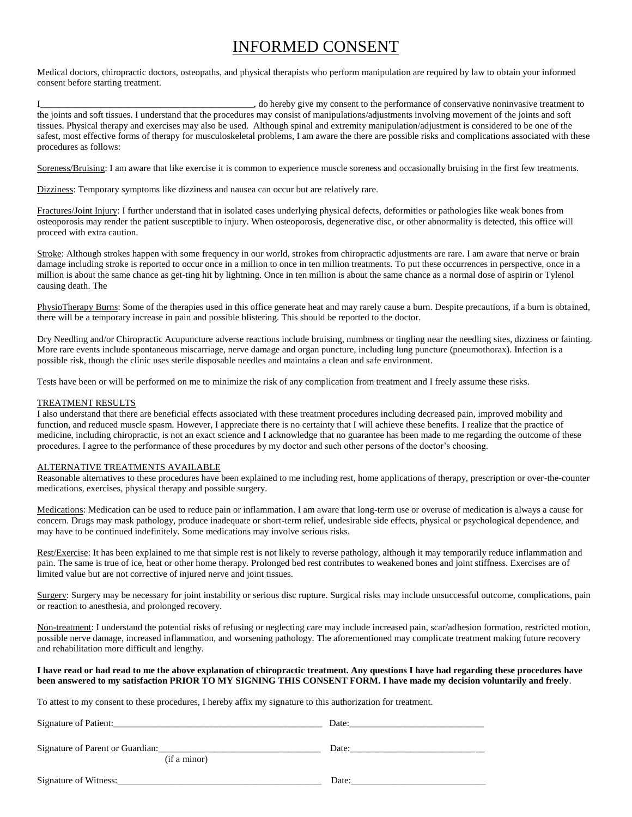# INFORMED CONSENT

Medical doctors, chiropractic doctors, osteopaths, and physical therapists who perform manipulation are required by law to obtain your informed consent before starting treatment.

I\_\_\_\_\_\_\_\_\_\_\_\_\_\_\_\_\_\_\_\_\_\_\_\_\_\_\_\_\_\_\_\_\_\_\_\_\_\_\_\_\_\_\_\_\_\_, do hereby give my consent to the performance of conservative noninvasive treatment to the joints and soft tissues. I understand that the procedures may consist of manipulations/adjustments involving movement of the joints and soft tissues. Physical therapy and exercises may also be used. Although spinal and extremity manipulation/adjustment is considered to be one of the safest, most effective forms of therapy for musculoskeletal problems, I am aware the there are possible risks and complications associated with these procedures as follows:

Soreness/Bruising: I am aware that like exercise it is common to experience muscle soreness and occasionally bruising in the first few treatments.

Dizziness: Temporary symptoms like dizziness and nausea can occur but are relatively rare.

Fractures/Joint Injury: I further understand that in isolated cases underlying physical defects, deformities or pathologies like weak bones from osteoporosis may render the patient susceptible to injury. When osteoporosis, degenerative disc, or other abnormality is detected, this office will proceed with extra caution.

Stroke: Although strokes happen with some frequency in our world, strokes from chiropractic adjustments are rare. I am aware that nerve or brain damage including stroke is reported to occur once in a million to once in ten million treatments. To put these occurrences in perspective, once in a million is about the same chance as get-ting hit by lightning. Once in ten million is about the same chance as a normal dose of aspirin or Tylenol causing death. The

PhysioTherapy Burns: Some of the therapies used in this office generate heat and may rarely cause a burn. Despite precautions, if a burn is obtained, there will be a temporary increase in pain and possible blistering. This should be reported to the doctor.

Dry Needling and/or Chiropractic Acupuncture adverse reactions include bruising, numbness or tingling near the needling sites, dizziness or fainting. More rare events include spontaneous miscarriage, nerve damage and organ puncture, including lung puncture (pneumothorax). Infection is a possible risk, though the clinic uses sterile disposable needles and maintains a clean and safe environment.

Tests have been or will be performed on me to minimize the risk of any complication from treatment and I freely assume these risks.

### TREATMENT RESULTS

I also understand that there are beneficial effects associated with these treatment procedures including decreased pain, improved mobility and function, and reduced muscle spasm. However, I appreciate there is no certainty that I will achieve these benefits. I realize that the practice of medicine, including chiropractic, is not an exact science and I acknowledge that no guarantee has been made to me regarding the outcome of these procedures. I agree to the performance of these procedures by my doctor and such other persons of the doctor's choosing.

#### ALTERNATIVE TREATMENTS AVAILABLE

Reasonable alternatives to these procedures have been explained to me including rest, home applications of therapy, prescription or over-the-counter medications, exercises, physical therapy and possible surgery.

Medications: Medication can be used to reduce pain or inflammation. I am aware that long-term use or overuse of medication is always a cause for concern. Drugs may mask pathology, produce inadequate or short-term relief, undesirable side effects, physical or psychological dependence, and may have to be continued indefinitely. Some medications may involve serious risks.

Rest/Exercise: It has been explained to me that simple rest is not likely to reverse pathology, although it may temporarily reduce inflammation and pain. The same is true of ice, heat or other home therapy. Prolonged bed rest contributes to weakened bones and joint stiffness. Exercises are of limited value but are not corrective of injured nerve and joint tissues.

Surgery: Surgery may be necessary for joint instability or serious disc rupture. Surgical risks may include unsuccessful outcome, complications, pain or reaction to anesthesia, and prolonged recovery.

Non-treatment: I understand the potential risks of refusing or neglecting care may include increased pain, scar/adhesion formation, restricted motion, possible nerve damage, increased inflammation, and worsening pathology. The aforementioned may complicate treatment making future recovery and rehabilitation more difficult and lengthy.

# **I have read or had read to me the above explanation of chiropractic treatment. Any questions I have had regarding these procedures have been answered to my satisfaction PRIOR TO MY SIGNING THIS CONSENT FORM. I have made my decision voluntarily and freely**.

To attest to my consent to these procedures, I hereby affix my signature to this authorization for treatment.

| Signature of Patient:                            | Date: |
|--------------------------------------------------|-------|
| Signature of Parent or Guardian:<br>(if a minor) | Date: |
| Signature of Witness:                            | Date: |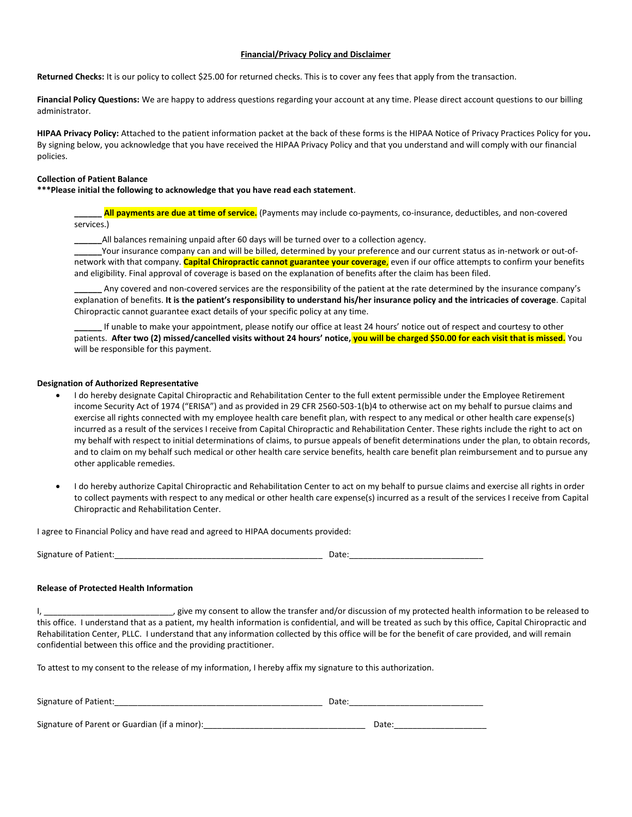# **Financial/Privacy Policy and Disclaimer**

Returned Checks: It is our policy to collect \$25.00 for returned checks. This is to cover any fees that apply from the transaction.

Financial Policy Questions: We are happy to address questions regarding your account at any time. Please direct account questions to our billing administrator.

HIPAA Privacy Policy: Attached to the patient information packet at the back of these forms is the HIPAA Notice of Privacy Practices Policy for you. By signing below, you acknowledge that you have received the HIPAA Privacy Policy and that you understand and will comply with our financial policies.

#### **Collection of Patient Balance**

#### \*\*\*Please initial the following to acknowledge that you have read each statement.

All payments are due at time of service. (Payments may include co-payments, co-insurance, deductibles, and non-covered services.)

All balances remaining unpaid after 60 days will be turned over to a collection agency.

Your insurance company can and will be billed, determined by your preference and our current status as in-network or out-ofnetwork with that company. Capital Chiropractic cannot guarantee your coverage, even if our office attempts to confirm your benefits and eligibility. Final approval of coverage is based on the explanation of benefits after the claim has been filed.

Any covered and non-covered services are the responsibility of the patient at the rate determined by the insurance company's explanation of benefits. It is the patient's responsibility to understand his/her insurance policy and the intricacies of coverage. Capital Chiropractic cannot guarantee exact details of your specific policy at any time.

If unable to make your appointment, please notify our office at least 24 hours' notice out of respect and courtesy to other patients. After two (2) missed/cancelled visits without 24 hours' notice, you will be charged \$50.00 for each visit that is missed. You will be responsible for this payment.

#### **Designation of Authorized Representative**

- I do hereby designate Capital Chiropractic and Rehabilitation Center to the full extent permissible under the Employee Retirement income Security Act of 1974 ("ERISA") and as provided in 29 CFR 2560-503-1(b)4 to otherwise act on my behalf to pursue claims and exercise all rights connected with my employee health care benefit plan, with respect to any medical or other health care expense(s) incurred as a result of the services I receive from Capital Chiropractic and Rehabilitation Center. These rights include the right to act on my behalf with respect to initial determinations of claims, to pursue appeals of benefit determinations under the plan, to obtain records, and to claim on my behalf such medical or other health care service benefits, health care benefit plan reimbursement and to pursue any other applicable remedies.
- I do hereby authorize Capital Chiropractic and Rehabilitation Center to act on my behalf to pursue claims and exercise all rights in order to collect payments with respect to any medical or other health care expense(s) incurred as a result of the services I receive from Capital Chiropractic and Rehabilitation Center.

I agree to Financial Policy and have read and agreed to HIPAA documents provided:

| Signature of<br>$\Gamma$ Dotiont:<br>Pauent. | ,,,,<br>vate. |
|----------------------------------------------|---------------|
|                                              |               |

#### **Release of Protected Health Information**

give my consent to allow the transfer and/or discussion of my protected health information to be released to  $\mathbf{I}_{\mathbf{r}}$ this office. I understand that as a patient, my health information is confidential, and will be treated as such by this office, Capital Chiropractic and Rehabilitation Center, PLLC. I understand that any information collected by this office will be for the benefit of care provided, and will remain confidential between this office and the providing practitioner.

To attest to my consent to the release of my information, I hereby affix my signature to this authorization.

| Signature of Patient:                         | Date |
|-----------------------------------------------|------|
|                                               |      |
| Signature of Parent or Guardian (if a minor): | Date |